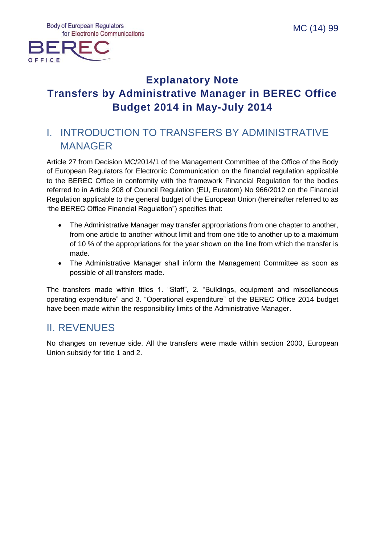

# **Explanatory Note Transfers by Administrative Manager in BEREC Office Budget 2014 in May-July 2014**

# I. INTRODUCTION TO TRANSFERS BY ADMINISTRATIVE MANAGER

Article 27 from Decision MC/2014/1 of the Management Committee of the Office of the Body of European Regulators for Electronic Communication on the financial regulation applicable to the BEREC Office in conformity with the framework Financial Regulation for the bodies referred to in Article 208 of Council Regulation (EU, Euratom) No 966/2012 on the Financial Regulation applicable to the general budget of the European Union (hereinafter referred to as "the BEREC Office Financial Regulation") specifies that:

- The Administrative Manager may transfer appropriations from one chapter to another, from one article to another without limit and from one title to another up to a maximum of 10 % of the appropriations for the year shown on the line from which the transfer is made.
- The Administrative Manager shall inform the Management Committee as soon as possible of all transfers made.

The transfers made within titles 1. "Staff", 2. "Buildings, equipment and miscellaneous operating expenditure" and 3. "Operational expenditure" of the BEREC Office 2014 budget have been made within the responsibility limits of the Administrative Manager.

## II. REVENUES

No changes on revenue side. All the transfers were made within section 2000, European Union subsidy for title 1 and 2.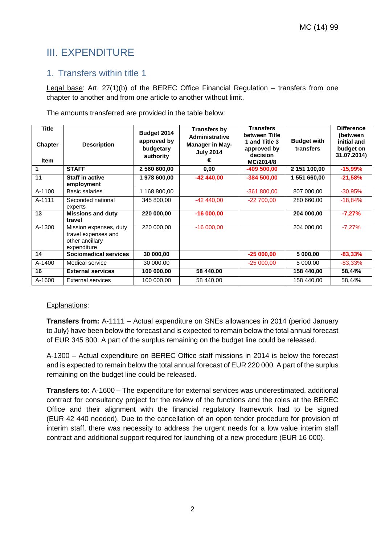## III. EXPENDITURE

### 1. Transfers within title 1

Legal base: Art. 27(1)(b) of the BEREC Office Financial Regulation – transfers from one chapter to another and from one article to another without limit.

The amounts transferred are provided in the table below:

| <b>Title</b><br><b>Chapter</b><br><b>Item</b> | <b>Description</b>                                                              | Budget 2014<br>approved by<br>budgetary<br>authority | <b>Transfers by</b><br><b>Administrative</b><br><b>Manager in May-</b><br><b>July 2014</b> | <b>Transfers</b><br>between Title<br>1 and Title 3<br>approved by<br>decision<br>MC/2014/8 | <b>Budget with</b><br>transfers | <b>Difference</b><br>(between<br>initial and<br>budget on<br>31.07.2014) |
|-----------------------------------------------|---------------------------------------------------------------------------------|------------------------------------------------------|--------------------------------------------------------------------------------------------|--------------------------------------------------------------------------------------------|---------------------------------|--------------------------------------------------------------------------|
|                                               | <b>STAFF</b>                                                                    | 2 560 600,00                                         | 0,00                                                                                       | $-409500.00$                                                                               | 2 151 100,00                    | $-15,99%$                                                                |
| 11                                            | <b>Staff in active</b><br>employment                                            | 1978 600,00                                          | $-42440,00$                                                                                | $-384500,00$                                                                               | 1 551 660,00                    | $-21,58%$                                                                |
| A-1100                                        | Basic salaries                                                                  | 1 168 800,00                                         |                                                                                            | $-361800,00$                                                                               | 807 000,00                      | $-30,95%$                                                                |
| A-1111                                        | Seconded national<br>experts                                                    | 345 800,00                                           | $-42440.00$                                                                                | $-22700,00$                                                                                | 280 660,00                      | $-18,84%$                                                                |
| 13                                            | <b>Missions and duty</b><br>travel                                              | 220 000,00                                           | $-16000,00$                                                                                |                                                                                            | 204 000,00                      | $-7,27%$                                                                 |
| A-1300                                        | Mission expenses, duty<br>travel expenses and<br>other ancillary<br>expenditure | 220 000.00                                           | $-16000,00$                                                                                |                                                                                            | 204 000,00                      | $-7,27%$                                                                 |
| 14                                            | Sociomedical services                                                           | 30 000,00                                            |                                                                                            | $-25000,00$                                                                                | 5 000,00                        | $-83,33%$                                                                |
| A-1400                                        | Medical service                                                                 | 30 000,00                                            |                                                                                            | $-25000,00$                                                                                | 5 000,00                        | $-83,33\%$                                                               |
| 16                                            | <b>External services</b>                                                        | 100 000,00                                           | 58 440,00                                                                                  |                                                                                            | 158 440,00                      | 58,44%                                                                   |
| A-1600                                        | External services                                                               | 100 000,00                                           | 58 440.00                                                                                  |                                                                                            | 158 440,00                      | 58,44%                                                                   |

#### Explanations:

**Transfers from:** A-1111 – Actual expenditure on SNEs allowances in 2014 (period January to July) have been below the forecast and is expected to remain below the total annual forecast of EUR 345 800. A part of the surplus remaining on the budget line could be released.

A-1300 – Actual expenditure on BEREC Office staff missions in 2014 is below the forecast and is expected to remain below the total annual forecast of EUR 220 000. A part of the surplus remaining on the budget line could be released.

**Transfers to:** A-1600 – The expenditure for external services was underestimated, additional contract for consultancy project for the review of the functions and the roles at the BEREC Office and their alignment with the financial regulatory framework had to be signed (EUR 42 440 needed). Due to the cancellation of an open tender procedure for provision of interim staff, there was necessity to address the urgent needs for a low value interim staff contract and additional support required for launching of a new procedure (EUR 16 000).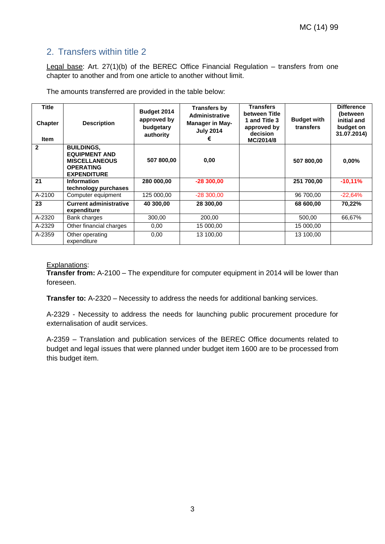### 2. Transfers within title 2

Legal base: Art. 27(1)(b) of the BEREC Office Financial Regulation – transfers from one chapter to another and from one article to another without limit.

The amounts transferred are provided in the table below:

| <b>Title</b><br><b>Chapter</b><br><b>Item</b> | <b>Description</b>                                                                                          | Budget 2014<br>approved by<br>budgetary<br>authority | <b>Transfers by</b><br>Administrative<br><b>Manager in May-</b><br><b>July 2014</b><br>€ | <b>Transfers</b><br>between Title<br>1 and Title 3<br>approved by<br>decision<br>MC/2014/8 | <b>Budget with</b><br>transfers | <b>Difference</b><br>(between<br>initial and<br>budget on<br>31.07.2014) |
|-----------------------------------------------|-------------------------------------------------------------------------------------------------------------|------------------------------------------------------|------------------------------------------------------------------------------------------|--------------------------------------------------------------------------------------------|---------------------------------|--------------------------------------------------------------------------|
| $\mathbf{2}$                                  | <b>BUILDINGS.</b><br><b>EQUIPMENT AND</b><br><b>MISCELLANEOUS</b><br><b>OPERATING</b><br><b>EXPENDITURE</b> | 507 800,00                                           | 0,00                                                                                     |                                                                                            | 507 800,00                      | $0.00\%$                                                                 |
| 21                                            | <b>Information</b><br>technology purchases                                                                  | 280 000,00                                           | $-28300,00$                                                                              |                                                                                            | 251 700,00                      | $-10,11%$                                                                |
| A-2100                                        | Computer equipment                                                                                          | 125 000,00                                           | $-28300,00$                                                                              |                                                                                            | 96 700,00                       | $-22,64%$                                                                |
| 23                                            | <b>Current administrative</b><br>expenditure                                                                | 40 300,00                                            | 28 300,00                                                                                |                                                                                            | 68 600,00                       | 70,22%                                                                   |
| A-2320                                        | Bank charges                                                                                                | 300,00                                               | 200,00                                                                                   |                                                                                            | 500,00                          | 66,67%                                                                   |
| A-2329                                        | Other financial charges                                                                                     | 0,00                                                 | 15 000,00                                                                                |                                                                                            | 15 000,00                       |                                                                          |
| A-2359                                        | Other operating<br>expenditure                                                                              | 0,00                                                 | 13 100,00                                                                                |                                                                                            | 13 100,00                       |                                                                          |

#### Explanations:

**Transfer from:** A-2100 – The expenditure for computer equipment in 2014 will be lower than foreseen.

**Transfer to:** A-2320 – Necessity to address the needs for additional banking services.

A-2329 - Necessity to address the needs for launching public procurement procedure for externalisation of audit services.

A-2359 – Translation and publication services of the BEREC Office documents related to budget and legal issues that were planned under budget item 1600 are to be processed from this budget item.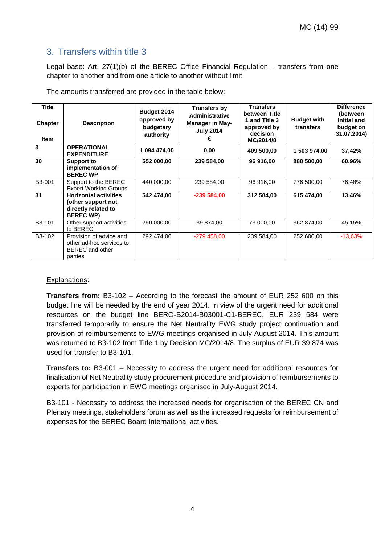### 3. Transfers within title 3

Legal base: Art. 27(1)(b) of the BEREC Office Financial Regulation – transfers from one chapter to another and from one article to another without limit.

The amounts transferred are provided in the table below:

| <b>Title</b><br><b>Chapter</b><br>Item | <b>Description</b>                                                                            | Budget 2014<br>approved by<br>budgetary<br>authority | <b>Transfers by</b><br><b>Administrative</b><br><b>Manager in May-</b><br><b>July 2014</b> | <b>Transfers</b><br>between Title<br>1 and Title 3<br>approved by<br>decision<br>MC/2014/8 | <b>Budget with</b><br>transfers | <b>Difference</b><br>(between<br>initial and<br>budget on<br>31.07.2014) |
|----------------------------------------|-----------------------------------------------------------------------------------------------|------------------------------------------------------|--------------------------------------------------------------------------------------------|--------------------------------------------------------------------------------------------|---------------------------------|--------------------------------------------------------------------------|
| 3                                      | <b>OPERATIONAL</b><br><b>EXPENDITURE</b>                                                      | 1 094 474,00                                         | 0,00                                                                                       | 409 500,00                                                                                 | 1 503 974,00                    | 37,42%                                                                   |
| 30                                     | <b>Support to</b><br>implementation of<br><b>BEREC WP</b>                                     | 552 000,00                                           | 239 584,00                                                                                 | 96 916,00                                                                                  | 888 500,00                      | 60,96%                                                                   |
| B3-001                                 | Support to the BEREC<br><b>Expert Working Groups</b>                                          | 440 000,00                                           | 239 584,00                                                                                 | 96 916,00                                                                                  | 776 500,00                      | 76,48%                                                                   |
| 31                                     | <b>Horizontal activities</b><br>(other support not<br>directly related to<br><b>BEREC WP)</b> | 542 474,00                                           | $-239584,00$                                                                               | 312 584,00                                                                                 | 615 474,00                      | 13,46%                                                                   |
| B3-101                                 | Other support activities<br>to BEREC                                                          | 250 000,00                                           | 39 874,00                                                                                  | 73 000,00                                                                                  | 362 874,00                      | 45,15%                                                                   |
| B3-102                                 | Provision of advice and<br>other ad-hoc services to<br><b>BEREC</b> and other<br>parties      | 292 474,00                                           | $-279458,00$                                                                               | 239 584,00                                                                                 | 252 600,00                      | $-13,63%$                                                                |

#### Explanations:

**Transfers from:** B3-102 – According to the forecast the amount of EUR 252 600 on this budget line will be needed by the end of year 2014. In view of the urgent need for additional resources on the budget line BERO-B2014-B03001-C1-BEREC, EUR 239 584 were transferred temporarily to ensure the Net Neutrality EWG study project continuation and provision of reimbursements to EWG meetings organised in July-August 2014. This amount was returned to B3-102 from Title 1 by Decision MC/2014/8. The surplus of EUR 39 874 was used for transfer to B3-101.

**Transfers to:** B3-001 – Necessity to address the urgent need for additional resources for finalisation of Net Neutrality study procurement procedure and provision of reimbursements to experts for participation in EWG meetings organised in July-August 2014.

B3-101 - Necessity to address the increased needs for organisation of the BEREC CN and Plenary meetings, stakeholders forum as well as the increased requests for reimbursement of expenses for the BEREC Board International activities.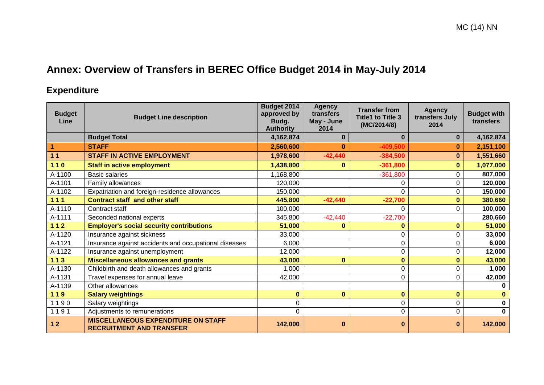# **Annex: Overview of Transfers in BEREC Office Budget 2014 in May-July 2014**

## **Expenditure**

| <b>Budget</b><br>Line | <b>Budget Line description</b>                                               | Budget 2014<br>approved by<br>Budg.<br><b>Authority</b> | <b>Agency</b><br>transfers<br>May - June<br>2014 | <b>Transfer from</b><br><b>Title1 to Title 3</b><br>(MC/2014/8) | <b>Agency</b><br>transfers July<br>2014 | <b>Budget with</b><br>transfers |
|-----------------------|------------------------------------------------------------------------------|---------------------------------------------------------|--------------------------------------------------|-----------------------------------------------------------------|-----------------------------------------|---------------------------------|
|                       | <b>Budget Total</b>                                                          | 4,162,874                                               |                                                  | $\bf{0}$                                                        | $\mathbf{0}$                            | 4,162,874                       |
| 1                     | <b>STAFF</b>                                                                 | 2,560,600                                               | 0                                                | -409,500                                                        | 0                                       | 2,151,100                       |
| 11                    | <b>STAFF IN ACTIVE EMPLOYMENT</b>                                            | 1,978,600                                               | $-42,440$                                        | $-384,500$                                                      | $\bf{0}$                                | 1,551,660                       |
| $110$                 | <b>Staff in active employment</b>                                            | 1,438,800                                               | 0                                                | $-361,800$                                                      | $\bf{0}$                                | 1,077,000                       |
| A-1100                | <b>Basic salaries</b>                                                        | 1,168,800                                               |                                                  | $-361,800$                                                      | 0                                       | 807,000                         |
| A-1101                | Family allowances                                                            | 120,000                                                 |                                                  | 0                                                               | 0                                       | 120,000                         |
| A-1102                | Expatriation and foreign-residence allowances                                | 150,000                                                 |                                                  | 0                                                               | 0                                       | 150,000                         |
| $111$                 | <b>Contract staff and other staff</b>                                        | 445,800                                                 | $-42,440$                                        | $-22,700$                                                       | $\bf{0}$                                | 380,660                         |
| A-1110                | Contract staff                                                               | 100,000                                                 |                                                  | $\mathbf 0$                                                     | $\Omega$                                | 100,000                         |
| A-1111                | Seconded national experts                                                    | 345,800                                                 | $-42,440$                                        | $-22,700$                                                       |                                         | 280,660                         |
| $112$                 | <b>Employer's social security contributions</b>                              | 51,000                                                  | 0                                                | 0                                                               | $\bf{0}$                                | 51,000                          |
| A-1120                | Insurance against sickness                                                   | 33,000                                                  |                                                  | 0                                                               | 0                                       | 33,000                          |
| A-1121                | Insurance against accidents and occupational diseases                        | 6,000                                                   |                                                  | 0                                                               | 0                                       | 6,000                           |
| A-1122                | Insurance against unemployment                                               | 12,000                                                  |                                                  | 0                                                               | 0                                       | 12,000                          |
| $113$                 | <b>Miscellaneous allowances and grants</b>                                   | 43,000                                                  | $\bf{0}$                                         | 0                                                               | $\bf{0}$                                | 43,000                          |
| A-1130                | Childbirth and death allowances and grants                                   | 1,000                                                   |                                                  | 0                                                               | 0                                       | 1,000                           |
| A-1131                | Travel expenses for annual leave                                             | 42,000                                                  |                                                  | 0                                                               | $\Omega$                                | 42,000                          |
| A-1139                | Other allowances                                                             |                                                         |                                                  |                                                                 |                                         | $\Omega$                        |
| $119$                 | <b>Salary weightings</b>                                                     | $\bf{0}$                                                | $\bf{0}$                                         | $\bf{0}$                                                        | $\bf{0}$                                |                                 |
| 1190                  | Salary weightings                                                            | 0                                                       |                                                  | 0                                                               | 0                                       | $\bf{0}$                        |
| 1191                  | Adjustments to remunerations                                                 | 0                                                       |                                                  | $\Omega$                                                        | 0                                       | $\bf{0}$                        |
| $12$                  | <b>MISCELLANEOUS EXPENDITURE ON STAFF</b><br><b>RECRUITMENT AND TRANSFER</b> | 142,000                                                 | 0                                                | 0                                                               | $\bf{0}$                                | 142,000                         |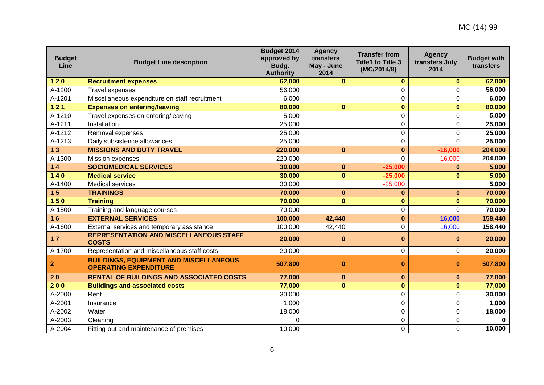| <b>Budget</b><br>Line | <b>Budget Line description</b>                                                | Budget 2014<br>approved by<br>Budg.<br><b>Authority</b> | <b>Agency</b><br>transfers<br>May - June<br>2014 | <b>Transfer from</b><br><b>Title1 to Title 3</b><br>(MC/2014/8) | <b>Agency</b><br>transfers July<br>2014 | <b>Budget with</b><br>transfers |
|-----------------------|-------------------------------------------------------------------------------|---------------------------------------------------------|--------------------------------------------------|-----------------------------------------------------------------|-----------------------------------------|---------------------------------|
| $120$                 | <b>Recruitment expenses</b>                                                   | 62,000                                                  | $\bf{0}$                                         | $\mathbf{0}$                                                    | $\bf{0}$                                | 62,000                          |
| A-1200                | Travel expenses                                                               | 56,000                                                  |                                                  | 0                                                               | 0                                       | 56,000                          |
| A-1201                | Miscellaneous expenditure on staff recruitment                                | 6,000                                                   |                                                  | 0                                                               | 0                                       | 6,000                           |
| $121$                 | <b>Expenses on entering/leaving</b>                                           | 80,000                                                  | $\mathbf 0$                                      | $\bf{0}$                                                        | $\mathbf{0}$                            | 80,000                          |
| A-1210                | Travel expenses on entering/leaving                                           | 5,000                                                   |                                                  | 0                                                               | 0                                       | 5,000                           |
| A-1211                | Installation                                                                  | 25,000                                                  |                                                  | 0                                                               | 0                                       | 25,000                          |
| A-1212                | Removal expenses                                                              | 25,000                                                  |                                                  | 0                                                               | $\mathbf 0$                             | 25,000                          |
| A-1213                | Daily subsistence allowances                                                  | 25,000                                                  |                                                  | 0                                                               | $\overline{0}$                          | 25,000                          |
| 13                    | <b>MISSIONS AND DUTY TRAVEL</b>                                               | 220,000                                                 | $\mathbf{0}$                                     | $\bf{0}$                                                        | $-16,000$                               | 204,000                         |
| A-1300                | Mission expenses                                                              | 220,000                                                 |                                                  | $\Omega$                                                        | $-16,000$                               | 204,000                         |
| $14$                  | <b>SOCIOMEDICAL SERVICES</b>                                                  | 30,000                                                  | $\mathbf 0$                                      | $-25,000$                                                       | $\bf{0}$                                | 5,000                           |
| $140$                 | <b>Medical service</b>                                                        | 30,000                                                  | $\mathbf 0$                                      | $-25,000$                                                       | $\bf{0}$                                | 5,000                           |
| A-1400                | Medical services                                                              | 30,000                                                  |                                                  | $-25,000$                                                       |                                         | 5,000                           |
| 15                    | <b>TRAININGS</b>                                                              | 70,000                                                  | $\bf{0}$                                         | $\bf{0}$                                                        | $\bf{0}$                                | 70,000                          |
| 150                   | <b>Training</b>                                                               | 70,000                                                  | $\bf{0}$                                         | $\bf{0}$                                                        | $\bf{0}$                                | 70,000                          |
| A-1500                | Training and language courses                                                 | 70,000                                                  |                                                  | $\overline{0}$                                                  | $\overline{0}$                          | 70,000                          |
| 16                    | <b>EXTERNAL SERVICES</b>                                                      | 100,000                                                 | 42,440                                           | $\bf{0}$                                                        | 16,000                                  | 158,440                         |
| A-1600                | External services and temporary assistance                                    | 100,000                                                 | 42,440                                           | 0                                                               | 16,000                                  | 158,440                         |
| $17$                  | <b>REPRESENTATION AND MISCELLANEOUS STAFF</b><br><b>COSTS</b>                 | 20,000                                                  | $\bf{0}$                                         | $\bf{0}$                                                        | $\bf{0}$                                | 20,000                          |
| A-1700                | Representation and miscellaneous staff costs                                  | 20,000                                                  |                                                  | 0                                                               | 0                                       | 20,000                          |
| $\mathbf{2}$          | <b>BUILDINGS, EQUIPMENT AND MISCELLANEOUS</b><br><b>OPERATING EXPENDITURE</b> | 507,800                                                 | $\bf{0}$                                         | $\bf{0}$                                                        | $\bf{0}$                                | 507,800                         |
| 20                    | <b>RENTAL OF BUILDINGS AND ASSOCIATED COSTS</b>                               | 77,000                                                  | $\bf{0}$                                         | $\bf{0}$                                                        | $\bf{0}$                                | 77,000                          |
| 200                   | <b>Buildings and associated costs</b>                                         | 77,000                                                  | $\mathbf{0}$                                     | $\bf{0}$                                                        | $\bf{0}$                                | 77,000                          |
| A-2000                | Rent                                                                          | 30,000                                                  |                                                  | 0                                                               | $\mathsf 0$                             | 30,000                          |
| A-2001                | Insurance                                                                     | 1,000                                                   |                                                  | 0                                                               | 0                                       | 1,000                           |
| A-2002                | Water                                                                         | 18,000                                                  |                                                  | $\overline{0}$                                                  | 0                                       | 18,000                          |
| A-2003                | Cleaning                                                                      | $\mathbf 0$                                             |                                                  | 0                                                               | 0                                       | $\Omega$                        |
| A-2004                | Fitting-out and maintenance of premises                                       | 10,000                                                  |                                                  | 0                                                               | 0                                       | 10,000                          |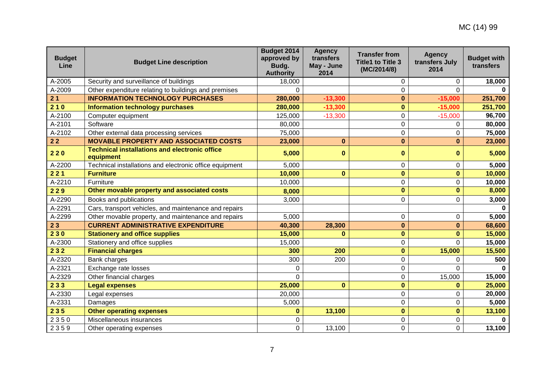| <b>Budget</b><br>Line | <b>Budget Line description</b>                                    | <b>Budget 2014</b><br>approved by<br>Budg.<br><b>Authority</b> | <b>Agency</b><br>transfers<br>May - June<br>2014 | <b>Transfer from</b><br><b>Title1 to Title 3</b><br>(MC/2014/8) | <b>Agency</b><br>transfers July<br>2014 | <b>Budget with</b><br>transfers |
|-----------------------|-------------------------------------------------------------------|----------------------------------------------------------------|--------------------------------------------------|-----------------------------------------------------------------|-----------------------------------------|---------------------------------|
| A-2005                | Security and surveillance of buildings                            | 18,000                                                         |                                                  | 0                                                               | 0                                       | 18,000                          |
| A-2009                | Other expenditure relating to buildings and premises              | 0                                                              |                                                  | 0                                                               | $\Omega$                                |                                 |
| 21                    | <b>INFORMATION TECHNOLOGY PURCHASES</b>                           | 280,000                                                        | $-13,300$                                        | $\bf{0}$                                                        | $-15,000$                               | 251,700                         |
| 210                   | <b>Information technology purchases</b>                           | 280,000                                                        | $-13,300$                                        | $\bf{0}$                                                        | $-15,000$                               | 251,700                         |
| A-2100                | Computer equipment                                                | 125,000                                                        | $-13,300$                                        | 0                                                               | $-15,000$                               | 96,700                          |
| A-2101                | Software                                                          | 80,000                                                         |                                                  | 0                                                               | $\Omega$                                | 80,000                          |
| A-2102                | Other external data processing services                           | 75,000                                                         |                                                  | 0                                                               | 0                                       | 75,000                          |
| $22$                  | <b>MOVABLE PROPERTY AND ASSOCIATED COSTS</b>                      | 23,000                                                         | $\bf{0}$                                         | $\bf{0}$                                                        | $\bf{0}$                                | 23,000                          |
| 220                   | <b>Technical installations and electronic office</b><br>equipment | 5,000                                                          | $\bf{0}$                                         | $\mathbf 0$                                                     | 0                                       | 5,000                           |
| A-2200                | Technical installations and electronic office equipment           | 5,000                                                          |                                                  | 0                                                               | $\mathbf 0$                             | 5,000                           |
| 221                   | <b>Furniture</b>                                                  | 10,000                                                         | $\bf{0}$                                         | $\bf{0}$                                                        | $\mathbf{0}$                            | 10,000                          |
| A-2210                | Furniture                                                         | 10,000                                                         |                                                  | $\overline{0}$                                                  | 0                                       | 10,000                          |
| 229                   | Other movable property and associated costs                       | 8,000                                                          |                                                  | $\bf{0}$                                                        | $\mathbf 0$                             | 8,000                           |
| A-2290                | Books and publications                                            | 3,000                                                          |                                                  | $\mathbf 0$                                                     | 0                                       | 3,000                           |
| A-2291                | Cars, transport vehicles, and maintenance and repairs             |                                                                |                                                  |                                                                 |                                         | $\Omega$                        |
| A-2299                | Other movable property, and maintenance and repairs               | 5,000                                                          |                                                  | 0                                                               | $\pmb{0}$                               | 5,000                           |
| 23                    | <b>CURRENT ADMINISTRATIVE EXPENDITURE</b>                         | 40,300                                                         | 28,300                                           | $\bf{0}$                                                        | $\bf{0}$                                | 68,600                          |
| 230                   | <b>Stationery and office supplies</b>                             | 15,000                                                         | $\Omega$                                         | $\bf{0}$                                                        | $\bf{0}$                                | 15,000                          |
| A-2300                | Stationery and office supplies                                    | 15,000                                                         |                                                  | 0                                                               | 0                                       | 15,000                          |
| 232                   | <b>Financial charges</b>                                          | 300                                                            | 200                                              | $\bf{0}$                                                        | 15,000                                  | 15,500                          |
| A-2320                | Bank charges                                                      | 300                                                            | 200                                              | $\mathbf 0$                                                     | 0                                       | 500                             |
| A-2321                | Exchange rate losses                                              | 0                                                              |                                                  | 0                                                               | $\Omega$                                |                                 |
| A-2329                | Other financial charges                                           | $\mathbf 0$                                                    |                                                  | 0                                                               | 15,000                                  | 15,000                          |
| 233                   | <b>Legal expenses</b>                                             | 25,000                                                         | $\bf{0}$                                         | $\mathbf{0}$                                                    | $\bf{0}$                                | 25,000                          |
| A-2330                | Legal expenses                                                    | 20,000                                                         |                                                  | 0                                                               | $\mathbf 0$                             | 20,000                          |
| A-2331                | Damages                                                           | 5,000                                                          |                                                  | 0                                                               | 0                                       | 5,000                           |
| 235                   | <b>Other operating expenses</b>                                   | $\bf{0}$                                                       | 13,100                                           | 0                                                               | $\bf{0}$                                | 13,100                          |
| 2350                  | Miscellaneous insurances                                          | 0                                                              |                                                  | $\overline{0}$                                                  | 0                                       |                                 |
| 2359                  | Other operating expenses                                          | 0                                                              | 13,100                                           | 0                                                               | 0                                       | 13,100                          |